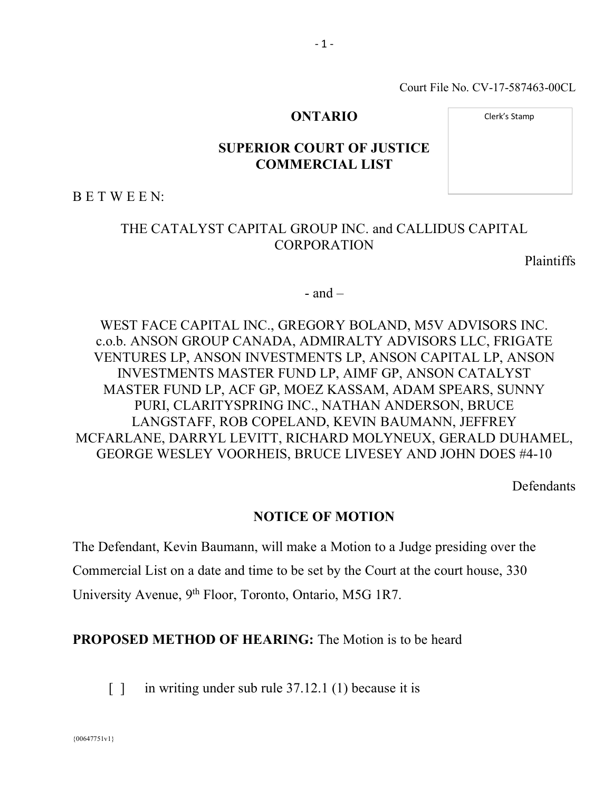Court File No. CV-17-587463-00CL

#### **ONTARIO**

Clerk's Stamp

# **SUPERIOR COURT OF JUSTICE COMMERCIAL LIST**

B E T W E E N:

# THE CATALYST CAPITAL GROUP INC. and CALLIDUS CAPITAL CORPORATION

Plaintiffs

 $-$  and  $-$ 

WEST FACE CAPITAL INC., GREGORY BOLAND, M5V ADVISORS INC. c.o.b. ANSON GROUP CANADA, ADMIRALTY ADVISORS LLC, FRIGATE VENTURES LP, ANSON INVESTMENTS LP, ANSON CAPITAL LP, ANSON INVESTMENTS MASTER FUND LP, AIMF GP, ANSON CATALYST MASTER FUND LP, ACF GP, MOEZ KASSAM, ADAM SPEARS, SUNNY PURI, CLARITYSPRING INC., NATHAN ANDERSON, BRUCE LANGSTAFF, ROB COPELAND, KEVIN BAUMANN, JEFFREY MCFARLANE, DARRYL LEVITT, RICHARD MOLYNEUX, GERALD DUHAMEL, GEORGE WESLEY VOORHEIS, BRUCE LIVESEY AND JOHN DOES #4-10

**Defendants** 

#### **NOTICE OF MOTION**

The Defendant, Kevin Baumann, will make a Motion to a Judge presiding over the Commercial List on a date and time to be set by the Court at the court house, 330 University Avenue, 9<sup>th</sup> Floor, Toronto, Ontario, M5G 1R7.

**PROPOSED METHOD OF HEARING:** The Motion is to be heard

[ ] in writing under sub rule 37.12.1 (1) because it is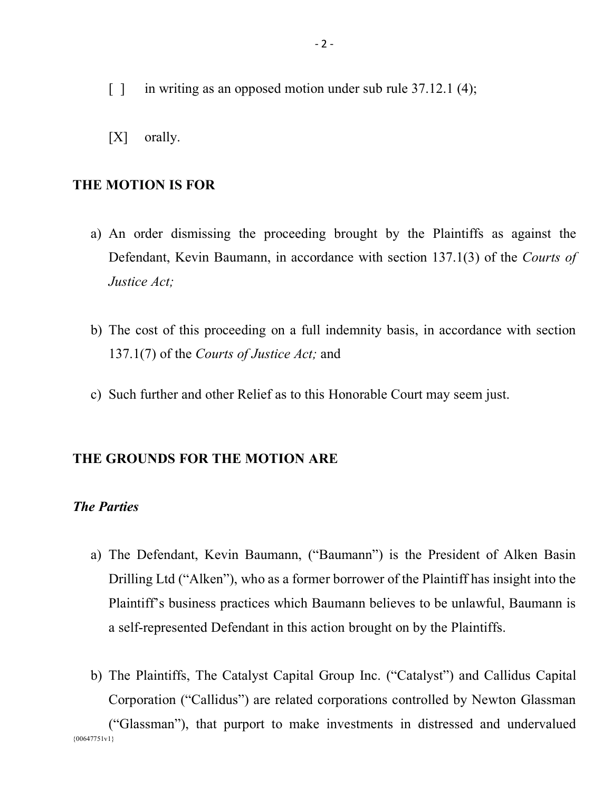- [ ] in writing as an opposed motion under sub rule 37.12.1 (4);
- [X] orally.

#### **THE MOTION IS FOR**

- a) An order dismissing the proceeding brought by the Plaintiffs as against the Defendant, Kevin Baumann, in accordance with section 137.1(3) of the *Courts of Justice Act;*
- b) The cost of this proceeding on a full indemnity basis, in accordance with section 137.1(7) of the *Courts of Justice Act;* and
- c) Such further and other Relief as to this Honorable Court may seem just.

# **THE GROUNDS FOR THE MOTION ARE**

# *The Parties*

- a) The Defendant, Kevin Baumann, ("Baumann") is the President of Alken Basin Drilling Ltd ("Alken"), who as a former borrower of the Plaintiff has insight into the Plaintiff's business practices which Baumann believes to be unlawful, Baumann is a self-represented Defendant in this action brought on by the Plaintiffs.
- {00647751v1} b) The Plaintiffs, The Catalyst Capital Group Inc. ("Catalyst") and Callidus Capital Corporation ("Callidus") are related corporations controlled by Newton Glassman ("Glassman"), that purport to make investments in distressed and undervalued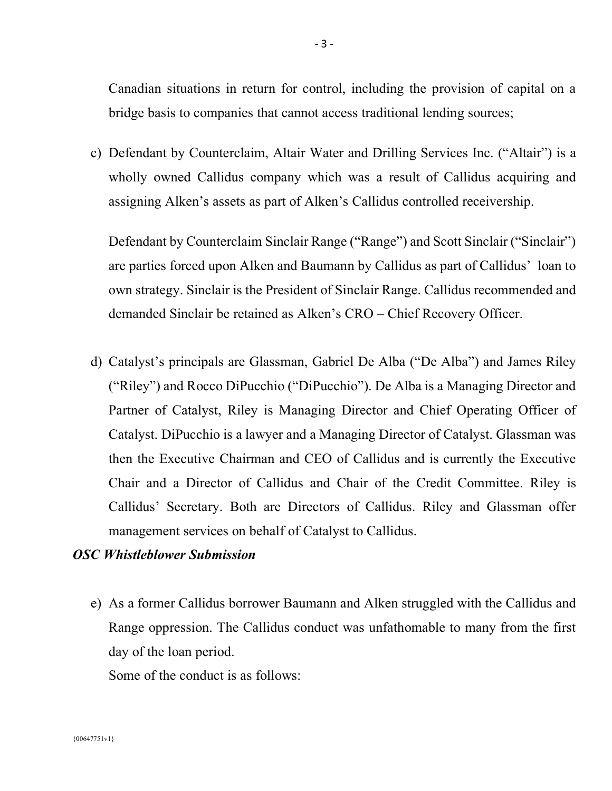Canadian situations in return for control, including the provision of capital on a bridge basis to companies that cannot access traditional lending sources;

c) Defendant by Counterclaim, Altair Water and Drilling Services Inc. ("Altair") is a wholly owned Callidus company which was a result of Callidus acquiring and assigning Alken's assets as part of Alken's Callidus controlled receivership.

Defendant by Counterclaim Sinclair Range ("Range") and Scott Sinclair ("Sinclair") are parties forced upon Alken and Baumann by Callidus as part of Callidus' loan to own strategy. Sinclair is the President of Sinclair Range. Callidus recommended and demanded Sinclair be retained as Alken's CRO – Chief Recovery Officer.

d) Catalyst's principals are Glassman, Gabriel De Alba ("De Alba") and James Riley ("Riley") and Rocco DiPucchio ("DiPucchio"). De Alba is a Managing Director and Partner of Catalyst, Riley is Managing Director and Chief Operating Officer of Catalyst. DiPucchio is a lawyer and a Managing Director of Catalyst. Glassman was then the Executive Chairman and CEO of Callidus and is currently the Executive Chair and a Director of Callidus and Chair of the Credit Committee. Riley is Callidus' Secretary. Both are Directors of Callidus. Riley and Glassman offer management services on behalf of Catalyst to Callidus.

#### *OSC Whistleblower Submission*

e) As a former Callidus borrower Baumann and Alken struggled with the Callidus and Range oppression. The Callidus conduct was unfathomable to many from the first day of the loan period.

Some of the conduct is as follows: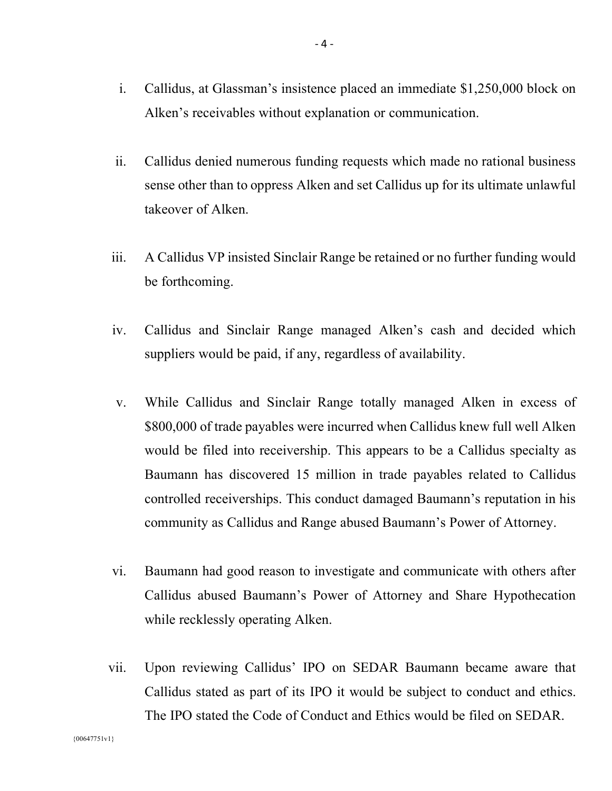- i. Callidus, at Glassman's insistence placed an immediate \$1,250,000 block on Alken's receivables without explanation or communication.
- ii. Callidus denied numerous funding requests which made no rational business sense other than to oppress Alken and set Callidus up for its ultimate unlawful takeover of Alken.
- iii. A Callidus VP insisted Sinclair Range be retained or no further funding would be forthcoming.
- iv. Callidus and Sinclair Range managed Alken's cash and decided which suppliers would be paid, if any, regardless of availability.
- v. While Callidus and Sinclair Range totally managed Alken in excess of \$800,000 of trade payables were incurred when Callidus knew full well Alken would be filed into receivership. This appears to be a Callidus specialty as Baumann has discovered 15 million in trade payables related to Callidus controlled receiverships. This conduct damaged Baumann's reputation in his community as Callidus and Range abused Baumann's Power of Attorney.
- vi. Baumann had good reason to investigate and communicate with others after Callidus abused Baumann's Power of Attorney and Share Hypothecation while recklessly operating Alken.
- vii. Upon reviewing Callidus' IPO on SEDAR Baumann became aware that Callidus stated as part of its IPO it would be subject to conduct and ethics. The IPO stated the Code of Conduct and Ethics would be filed on SEDAR.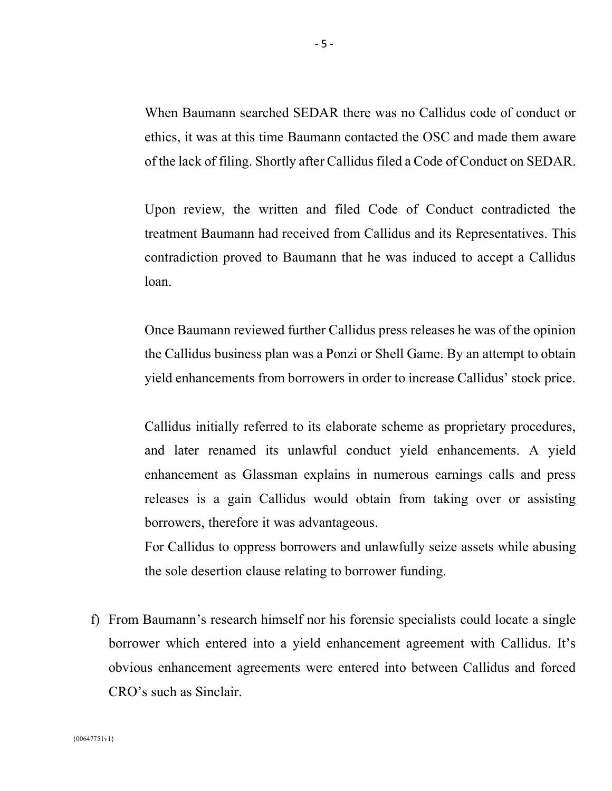When Baumann searched SEDAR there was no Callidus code of conduct or ethics, it was at this time Baumann contacted the OSC and made them aware of the lack of filing. Shortly after Callidus filed a Code of Conduct on SEDAR.

Upon review, the written and filed Code of Conduct contradicted the treatment Baumann had received from Callidus and its Representatives. This contradiction proved to Baumann that he was induced to accept a Callidus loan.

Once Baumann reviewed further Callidus press releases he was of the opinion the Callidus business plan was a Ponzi or Shell Game. By an attempt to obtain yield enhancements from borrowers in order to increase Callidus' stock price.

Callidus initially referred to its elaborate scheme as proprietary procedures, and later renamed its unlawful conduct yield enhancements. A yield enhancement as Glassman explains in numerous earnings calls and press releases is a gain Callidus would obtain from taking over or assisting borrowers, therefore it was advantageous.

For Callidus to oppress borrowers and unlawfully seize assets while abusing the sole desertion clause relating to borrower funding.

f) From Baumann's research himself nor his forensic specialists could locate a single borrower which entered into a yield enhancement agreement with Callidus. It's obvious enhancement agreements were entered into between Callidus and forced CRO's such as Sinclair.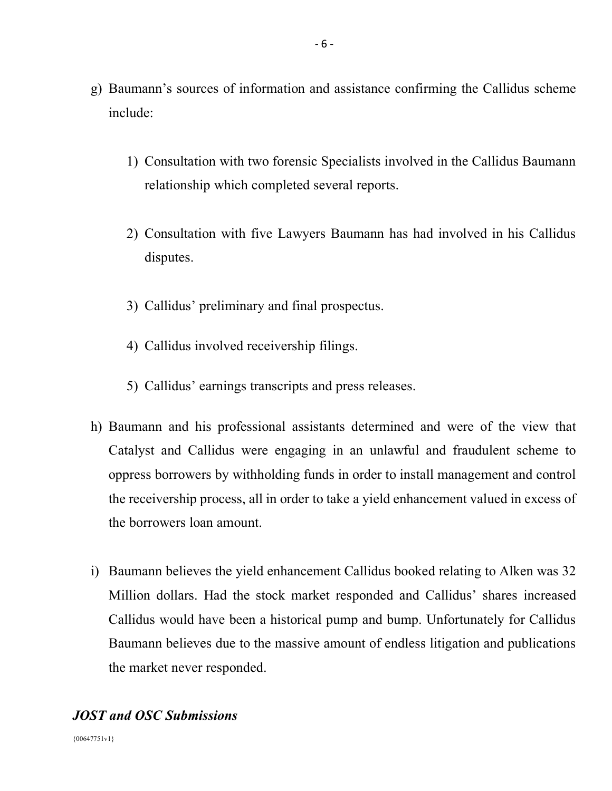- g) Baumann's sources of information and assistance confirming the Callidus scheme include:
	- 1) Consultation with two forensic Specialists involved in the Callidus Baumann relationship which completed several reports.
	- 2) Consultation with five Lawyers Baumann has had involved in his Callidus disputes.
	- 3) Callidus' preliminary and final prospectus.
	- 4) Callidus involved receivership filings.
	- 5) Callidus' earnings transcripts and press releases.
- h) Baumann and his professional assistants determined and were of the view that Catalyst and Callidus were engaging in an unlawful and fraudulent scheme to oppress borrowers by withholding funds in order to install management and control the receivership process, all in order to take a yield enhancement valued in excess of the borrowers loan amount.
- i) Baumann believes the yield enhancement Callidus booked relating to Alken was 32 Million dollars. Had the stock market responded and Callidus' shares increased Callidus would have been a historical pump and bump. Unfortunately for Callidus Baumann believes due to the massive amount of endless litigation and publications the market never responded.

# *JOST and OSC Submissions*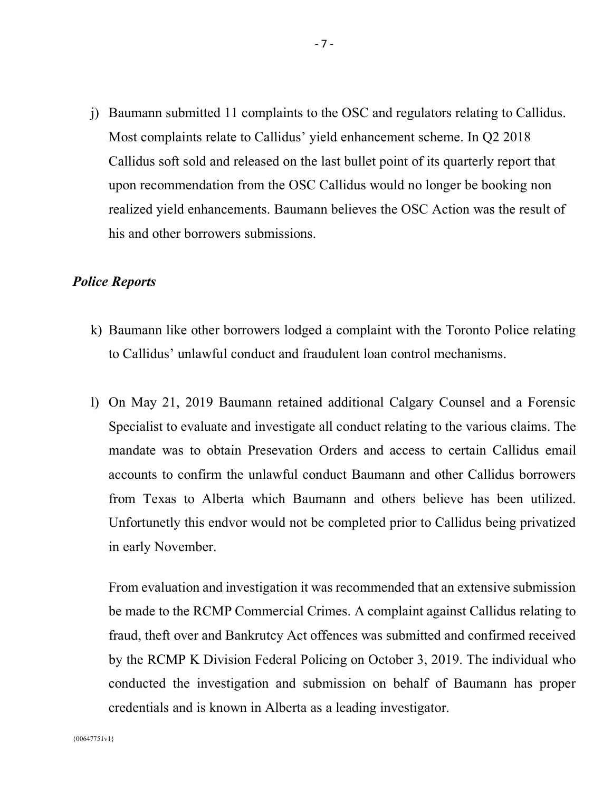j) Baumann submitted 11 complaints to the OSC and regulators relating to Callidus. Most complaints relate to Callidus' yield enhancement scheme. In Q2 2018 Callidus soft sold and released on the last bullet point of its quarterly report that upon recommendation from the OSC Callidus would no longer be booking non realized yield enhancements. Baumann believes the OSC Action was the result of his and other borrowers submissions.

# *Police Reports*

- k) Baumann like other borrowers lodged a complaint with the Toronto Police relating to Callidus' unlawful conduct and fraudulent loan control mechanisms.
- l) On May 21, 2019 Baumann retained additional Calgary Counsel and a Forensic Specialist to evaluate and investigate all conduct relating to the various claims. The mandate was to obtain Presevation Orders and access to certain Callidus email accounts to confirm the unlawful conduct Baumann and other Callidus borrowers from Texas to Alberta which Baumann and others believe has been utilized. Unfortunetly this endvor would not be completed prior to Callidus being privatized in early November.

From evaluation and investigation it was recommended that an extensive submission be made to the RCMP Commercial Crimes. A complaint against Callidus relating to fraud, theft over and Bankrutcy Act offences was submitted and confirmed received by the RCMP K Division Federal Policing on October 3, 2019. The individual who conducted the investigation and submission on behalf of Baumann has proper credentials and is known in Alberta as a leading investigator.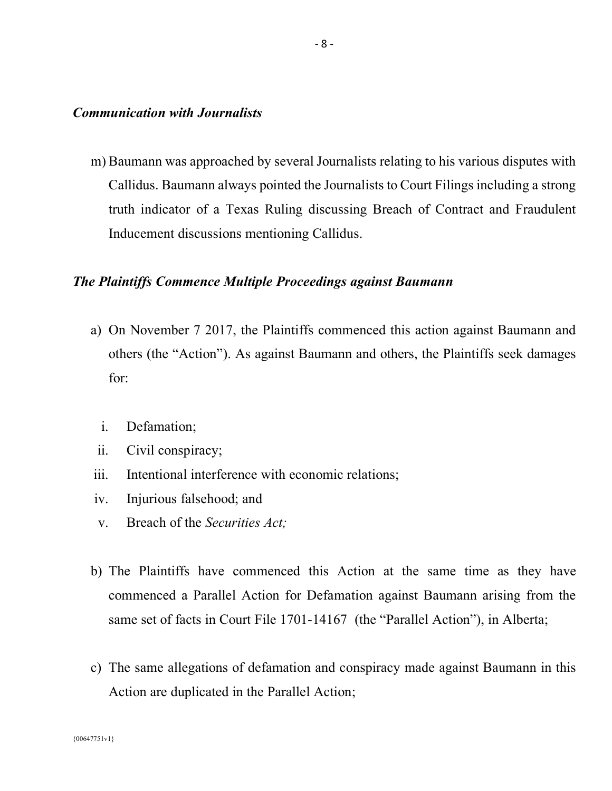#### *Communication with Journalists*

m) Baumann was approached by several Journalists relating to his various disputes with Callidus. Baumann always pointed the Journalists to Court Filings including a strong truth indicator of a Texas Ruling discussing Breach of Contract and Fraudulent Inducement discussions mentioning Callidus.

# *The Plaintiffs Commence Multiple Proceedings against Baumann*

- a) On November 7 2017, the Plaintiffs commenced this action against Baumann and others (the "Action"). As against Baumann and others, the Plaintiffs seek damages for:
	- i. Defamation;
	- ii. Civil conspiracy;
- iii. Intentional interference with economic relations;
- iv. Injurious falsehood; and
- v. Breach of the *Securities Act;*
- b) The Plaintiffs have commenced this Action at the same time as they have commenced a Parallel Action for Defamation against Baumann arising from the same set of facts in Court File 1701-14167 (the "Parallel Action"), in Alberta;
- c) The same allegations of defamation and conspiracy made against Baumann in this Action are duplicated in the Parallel Action;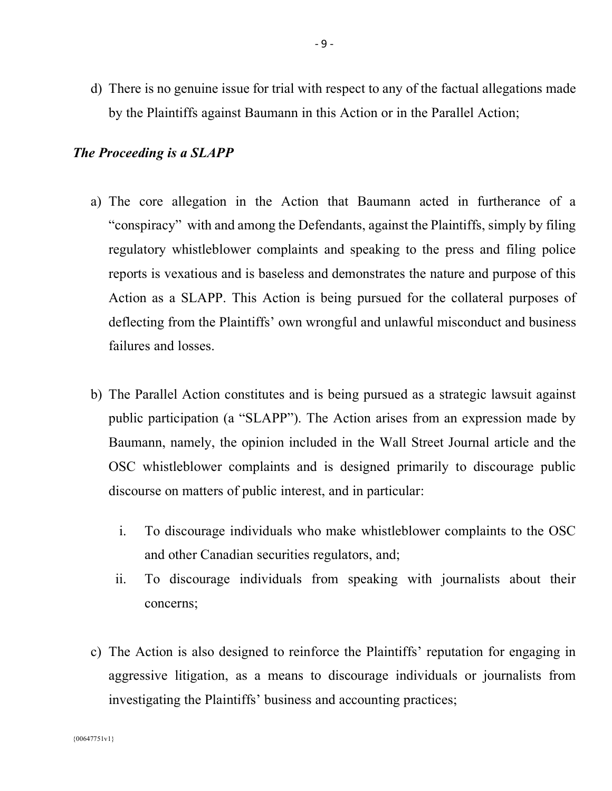d) There is no genuine issue for trial with respect to any of the factual allegations made by the Plaintiffs against Baumann in this Action or in the Parallel Action;

# *The Proceeding is a SLAPP*

- a) The core allegation in the Action that Baumann acted in furtherance of a "conspiracy" with and among the Defendants, against the Plaintiffs, simply by filing regulatory whistleblower complaints and speaking to the press and filing police reports is vexatious and is baseless and demonstrates the nature and purpose of this Action as a SLAPP. This Action is being pursued for the collateral purposes of deflecting from the Plaintiffs' own wrongful and unlawful misconduct and business failures and losses.
- b) The Parallel Action constitutes and is being pursued as a strategic lawsuit against public participation (a "SLAPP"). The Action arises from an expression made by Baumann, namely, the opinion included in the Wall Street Journal article and the OSC whistleblower complaints and is designed primarily to discourage public discourse on matters of public interest, and in particular:
	- i. To discourage individuals who make whistleblower complaints to the OSC and other Canadian securities regulators, and;
	- ii. To discourage individuals from speaking with journalists about their concerns;
- c) The Action is also designed to reinforce the Plaintiffs' reputation for engaging in aggressive litigation, as a means to discourage individuals or journalists from investigating the Plaintiffs' business and accounting practices;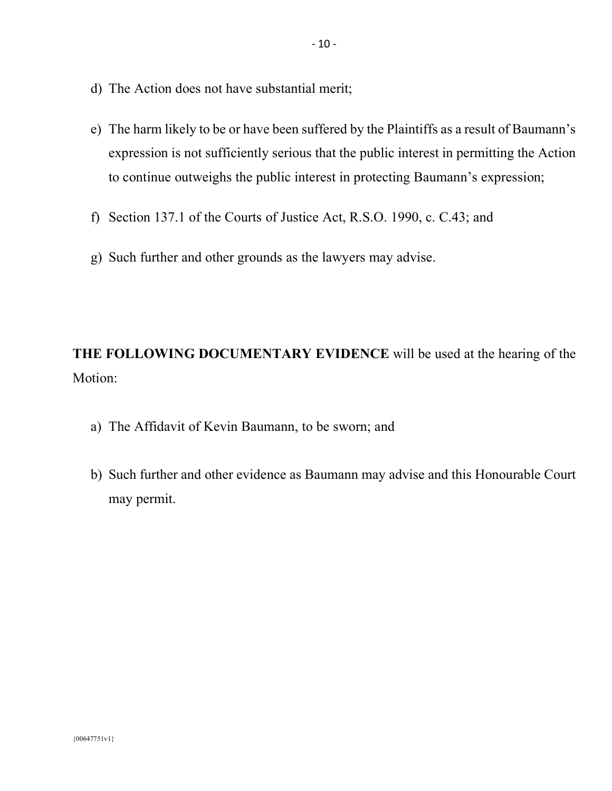- d) The Action does not have substantial merit;
- e) The harm likely to be or have been suffered by the Plaintiffs as a result of Baumann's expression is not sufficiently serious that the public interest in permitting the Action to continue outweighs the public interest in protecting Baumann's expression;
- f) Section 137.1 of the Courts of Justice Act, R.S.O. 1990, c. C.43; and
- g) Such further and other grounds as the lawyers may advise.

**THE FOLLOWING DOCUMENTARY EVIDENCE** will be used at the hearing of the Motion:

- a) The Affidavit of Kevin Baumann, to be sworn; and
- b) Such further and other evidence as Baumann may advise and this Honourable Court may permit.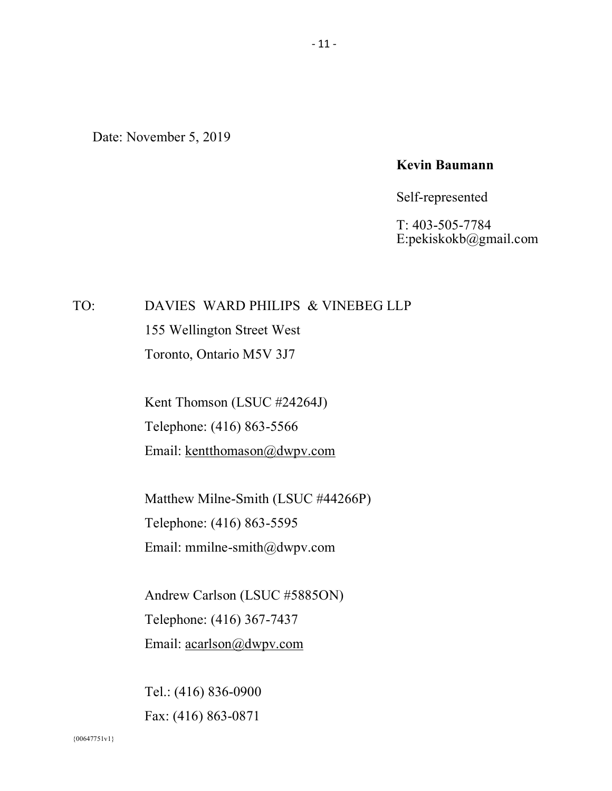Date: November 5, 2019

#### **Kevin Baumann**

#### Self-represented

T: 403-505-7784 E:pekiskokb@gmail.com

# TO: DAVIES WARD PHILIPS & VINEBEG LLP 155 Wellington Street West Toronto, Ontario M5V 3J7

Kent Thomson (LSUC #24264J) Telephone: (416) 863-5566 Email: kentthomason@dwpv.com

Matthew Milne-Smith (LSUC #44266P) Telephone: (416) 863-5595 Email: mmilne-smith@dwpv.com

Andrew Carlson (LSUC #5885ON) Telephone: (416) 367-7437 Email: acarlson@dwpv.com

Tel.: (416) 836-0900 Fax: (416) 863-0871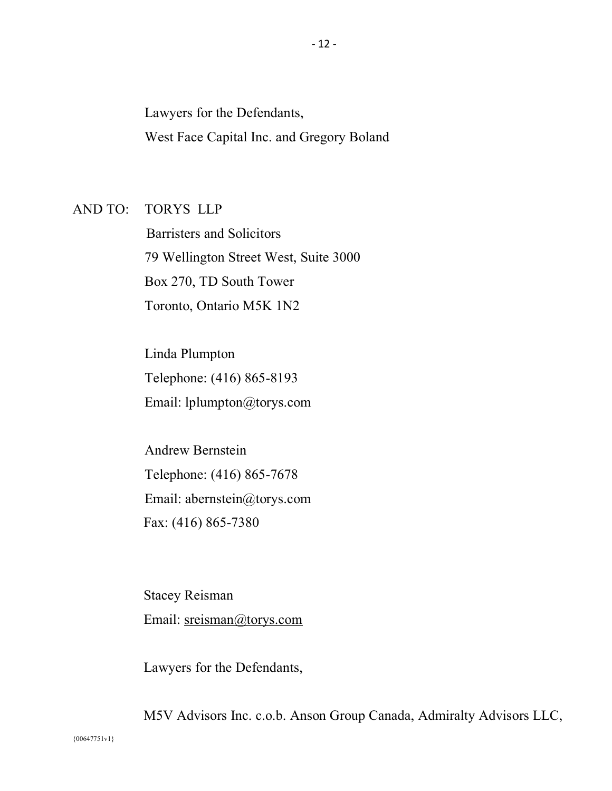Lawyers for the Defendants, West Face Capital Inc. and Gregory Boland

#### AND TO: TORYS LLP

 Barristers and Solicitors 79 Wellington Street West, Suite 3000 Box 270, TD South Tower Toronto, Ontario M5K 1N2

Linda Plumpton Telephone: (416) 865-8193 Email: lplumpton@torys.com

Andrew Bernstein Telephone: (416) 865-7678 Email: abernstein@torys.com Fax: (416) 865-7380

Stacey Reisman Email: sreisman@torys.com

Lawyers for the Defendants,

M5V Advisors Inc. c.o.b. Anson Group Canada, Admiralty Advisors LLC,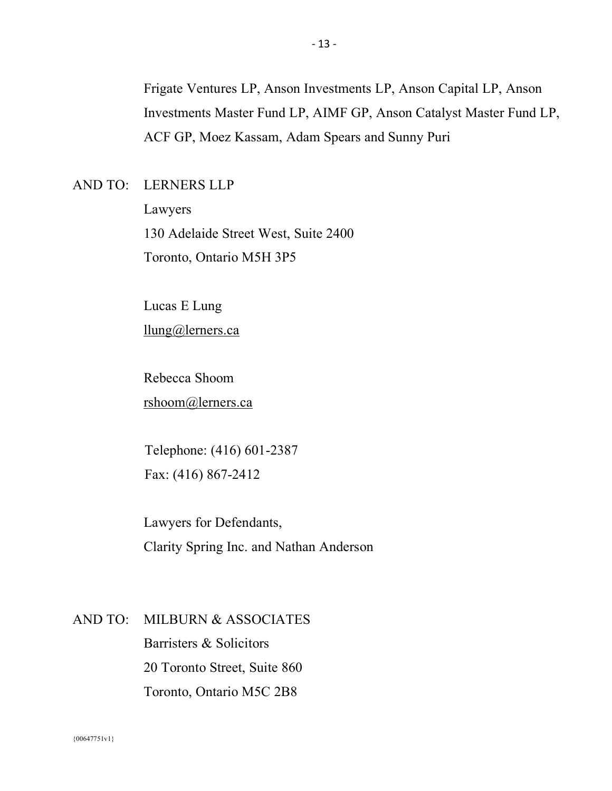Frigate Ventures LP, Anson Investments LP, Anson Capital LP, Anson Investments Master Fund LP, AIMF GP, Anson Catalyst Master Fund LP, ACF GP, Moez Kassam, Adam Spears and Sunny Puri

# AND TO: LERNERS LLP

Lawyers 130 Adelaide Street West, Suite 2400 Toronto, Ontario M5H 3P5

Lucas E Lung llung@lerners.ca

Rebecca Shoom rshoom@lerners.ca

Telephone: (416) 601-2387 Fax: (416) 867-2412

Lawyers for Defendants, Clarity Spring Inc. and Nathan Anderson

#### AND TO: MILBURN & ASSOCIATES

Barristers & Solicitors 20 Toronto Street, Suite 860 Toronto, Ontario M5C 2B8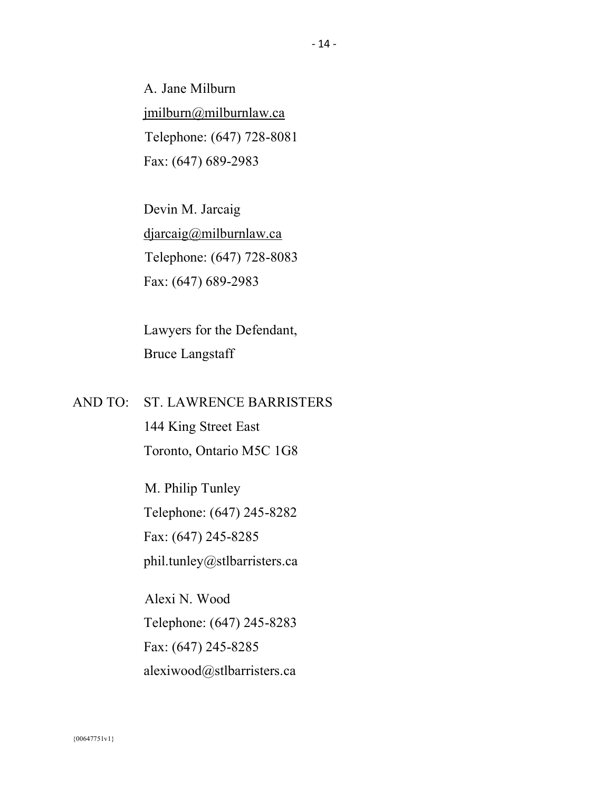A. Jane Milburn jmilburn@milburnlaw.ca Telephone: (647) 728-8081 Fax: (647) 689-2983

Devin M. Jarcaig djarcaig@milburnlaw.ca Telephone: (647) 728-8083 Fax: (647) 689-2983

Lawyers for the Defendant, Bruce Langstaff

# AND TO: ST. LAWRENCE BARRISTERS

144 King Street East Toronto, Ontario M5C 1G8

M. Philip Tunley Telephone: (647) 245-8282 Fax: (647) 245-8285 phil.tunley@stlbarristers.ca

Alexi N. Wood Telephone: (647) 245-8283 Fax: (647) 245-8285 alexiwood@stlbarristers.ca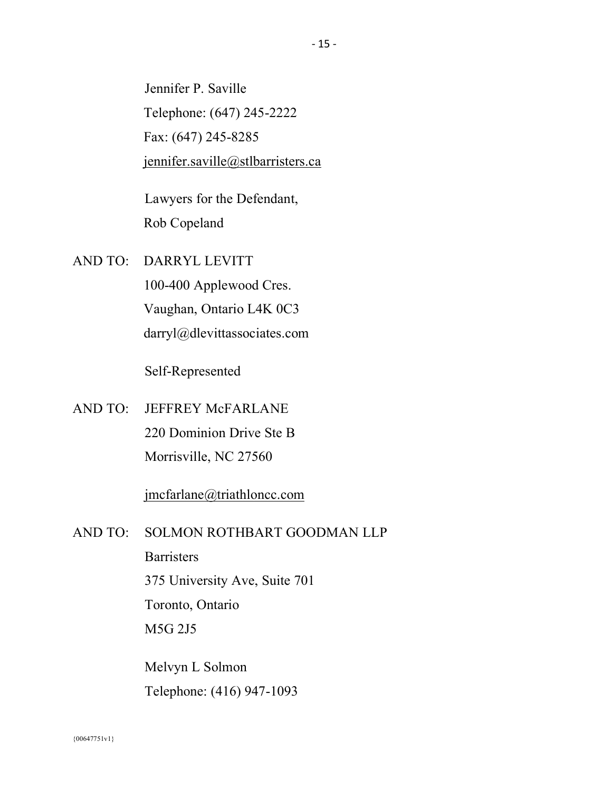Jennifer P. Saville Telephone: (647) 245-2222 Fax: (647) 245-8285 jennifer.saville@stlbarristers.ca

Lawyers for the Defendant, Rob Copeland

AND TO: DARRYL LEVITT

100-400 Applewood Cres. Vaughan, Ontario L4K 0C3 darryl@dlevittassociates.com

Self-Represented

AND TO: JEFFREY McFARLANE 220 Dominion Drive Ste B Morrisville, NC 27560

jmcfarlane@triathloncc.com

AND TO: SOLMON ROTHBART GOODMAN LLP

**Barristers** 

375 University Ave, Suite 701

Toronto, Ontario

M5G 2J5

Melvyn L Solmon Telephone: (416) 947-1093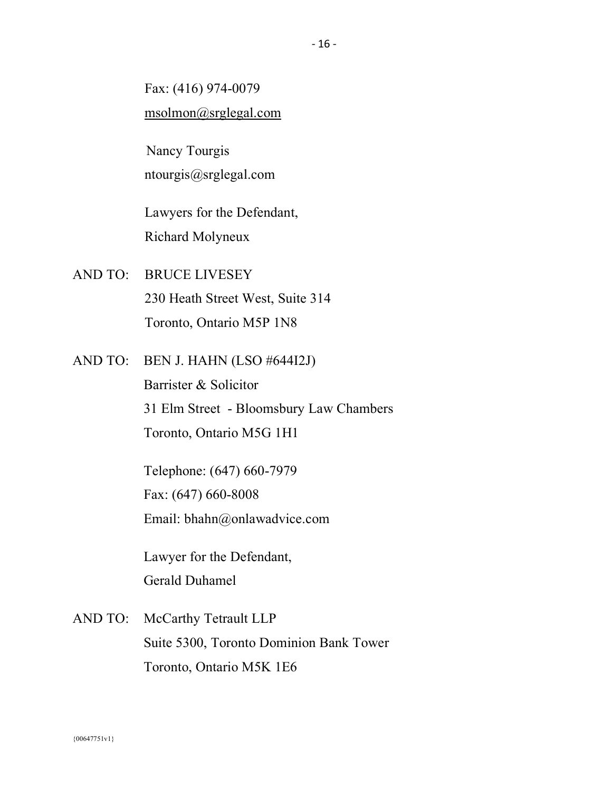Fax: (416) 974-0079 msolmon@srglegal.com

 Nancy Tourgis ntourgis@srglegal.com

Lawyers for the Defendant, Richard Molyneux

- AND TO: BRUCE LIVESEY 230 Heath Street West, Suite 314 Toronto, Ontario M5P 1N8
- AND TO: BEN J. HAHN (LSO #644I2J)

Barrister & Solicitor 31 Elm Street - Bloomsbury Law Chambers Toronto, Ontario M5G 1H1

Telephone: (647) 660-7979 Fax: (647) 660-8008 Email: bhahn@onlawadvice.com

Lawyer for the Defendant, Gerald Duhamel

AND TO: McCarthy Tetrault LLP Suite 5300, Toronto Dominion Bank Tower Toronto, Ontario M5K 1E6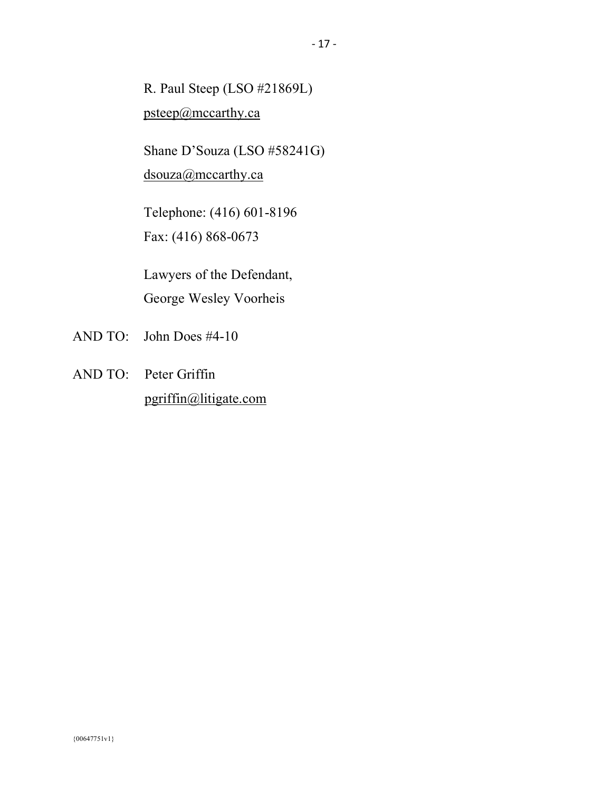R. Paul Steep (LSO #21869L) psteep@mccarthy.ca

Shane D'Souza (LSO #58241G) dsouza@mccarthy.ca

Telephone: (416) 601-8196 Fax: (416) 868-0673

Lawyers of the Defendant, George Wesley Voorheis

- AND TO: John Does #4-10
- AND TO: Peter Griffin pgriffin@litigate.com